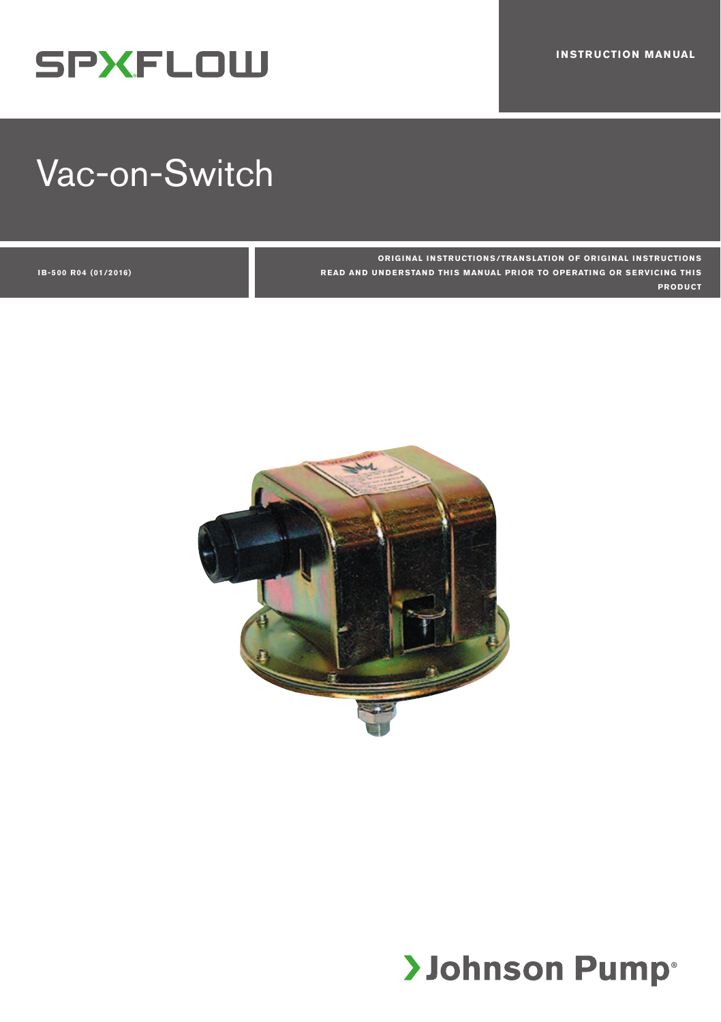# **SPXFLOW**

# Vac-on-Switch

**ORIGINAL INSTRUCTIONS/TRANSLATION OF ORIGINAL INSTRUCTIONS READ AND UNDERSTAND THIS MANUAL PRIOR TO OPERATING OR SERVICING THIS PRODUCT**

**I B-500 R04 (01/2016)** 



# **>Johnson Pump**®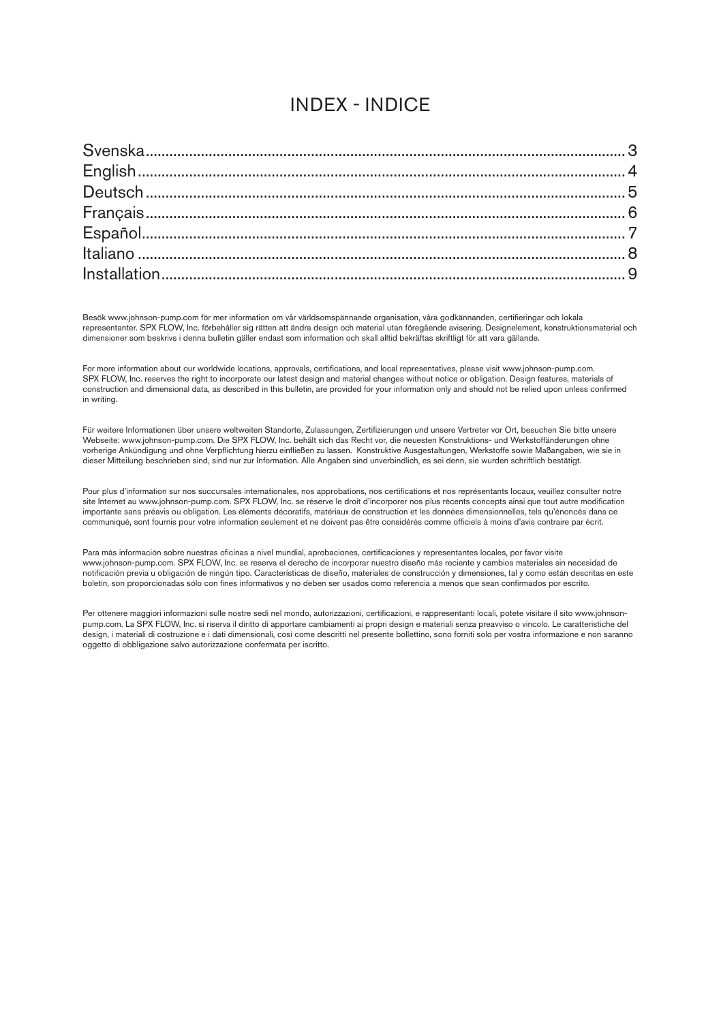### INDEX - INDICE

Besök www.johnson-pump.com för mer information om vår världsomspännande organisation, våra godkännanden, certifieringar och lokala representanter. SPX FLOW, Inc. förbehåller sig rätten att ändra design och material utan föregående avisering. Designelement, konstruktionsmaterial och dimensioner som beskrivs i denna bulletin gäller endast som information och skall alltid bekräftas skriftligt för att vara gällande.

For more information about our worldwide locations, approvals, certifications, and local representatives, please visit www.johnson-pump.com. SPX FLOW, Inc. reserves the right to incorporate our latest design and material changes without notice or obligation. Design features, materials of construction and dimensional data, as described in this bulletin, are provided for your information only and should not be relied upon unless confirmed in writing.

Für weitere Informationen über unsere weltweiten Standorte, Zulassungen, Zertifizierungen und unsere Vertreter vor Ort, besuchen Sie bitte unsere Webseite: www.johnson-pump.com. Die SPX FLOW, Inc. behält sich das Recht vor, die neuesten Konstruktions- und Werkstoffänderungen ohne vorherige Ankündigung und ohne Verpflichtung hierzu einfließen zu lassen. Konstruktive Ausgestaltungen, Werkstoffe sowie Maßangaben, wie sie in dieser Mitteilung beschrieben sind, sind nur zur Information. Alle Angaben sind unverbindlich, es sei denn, sie wurden schriftlich bestätigt.

Pour plus d'information sur nos succursales internationales, nos approbations, nos certifications et nos représentants locaux, veuillez consulter notre site Internet au www.johnson-pump.com. SPX FLOW, Inc. se réserve le droit d'incorporer nos plus récents concepts ainsi que tout autre modification importante sans préavis ou obligation. Les éléments décoratifs, matériaux de construction et les données dimensionnelles, tels qu'énoncés dans ce communiqué, sont fournis pour votre information seulement et ne doivent pas être considérés comme officiels à moins d'avis contraire par écrit.

Para más información sobre nuestras oficinas a nivel mundial, aprobaciones, certificaciones y representantes locales, por favor visite www.johnson-pump.com. SPX FLOW, Inc. se reserva el derecho de incorporar nuestro diseño más reciente y cambios materiales sin necesidad de notificación previa u obligación de ningún tipo. Características de diseño, materiales de construcción y dimensiones, tal y como están descritas en este boletín, son proporcionadas sólo con fines informativos y no deben ser usados como referencia a menos que sean confirmados por escrito.

Per ottenere maggiori informazioni sulle nostre sedi nel mondo, autorizzazioni, certificazioni, e rappresentanti locali, potete visitare il sito www.johnsonpump.com. La SPX FLOW, Inc. si riserva il diritto di apportare cambiamenti ai propri design e materiali senza preavviso o vincolo. Le caratteristiche del design, i materiali di costruzione e i dati dimensionali, così come descritti nel presente bollettino, sono forniti solo per vostra informazione e non saranno oggetto di obbligazione salvo autorizzazione confermata per iscritto.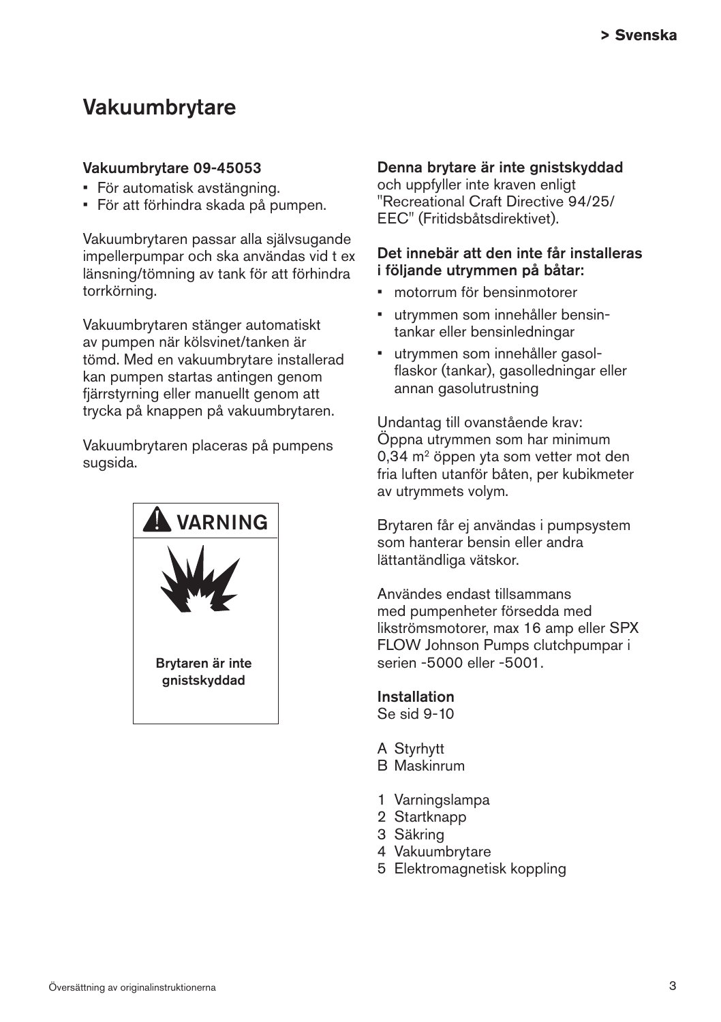## Vakuumbrytare

#### Vakuumbrytare 09-45053

- • För automatisk avstängning.
- • För att förhindra skada på pumpen.

Vakuumbrytaren passar alla självsugande impellerpumpar och ska användas vid t ex länsning/tömning av tank för att förhindra torrkörning.

Vakuumbrytaren stänger automatiskt av pumpen när kölsvinet/tanken är tömd. Med en vakuumbrytare installerad kan pumpen startas antingen genom fjärrstyrning eller manuellt genom att trycka på knappen på vakuumbrytaren.

Vakuumbrytaren placeras på pumpens sugsida.



#### Denna brytare är inte gnistskyddad

och uppfyller inte kraven enligt "Recreational Craft Directive 94/25/ EEC" (Fritidsbåtsdirektivet).

#### Det innebär att den inte får installeras i följande utrymmen på båtar:

- • motorrum för bensinmotorer
- utrymmen som innehåller bensintankar eller bensinledningar
- • utrymmen som innehåller gasol flaskor (tankar), gasolledningar eller annan gasolutrustning

Undantag till ovanstående krav: Öppna utrymmen som har minimum 0,34 m2 öppen yta som vetter mot den fria luften utanför båten, per kubikmeter av utrymmets volym.

Brytaren får ej användas i pumpsystem som hanterar bensin eller andra lättantändliga vätskor.

Användes endast tillsammans med pumpenheter försedda med likströmsmotorer, max 16 amp eller SPX FLOW Johnson Pumps clutchpumpar i serien -5000 eller -5001.

Installation Se sid 9-10

- A Styrhytt
- B Maskinrum
- 1 Varningslampa
- 2 Startknapp
- 3 Säkring
- 4 Vakuumbrytare
- 5 Elektromagnetisk koppling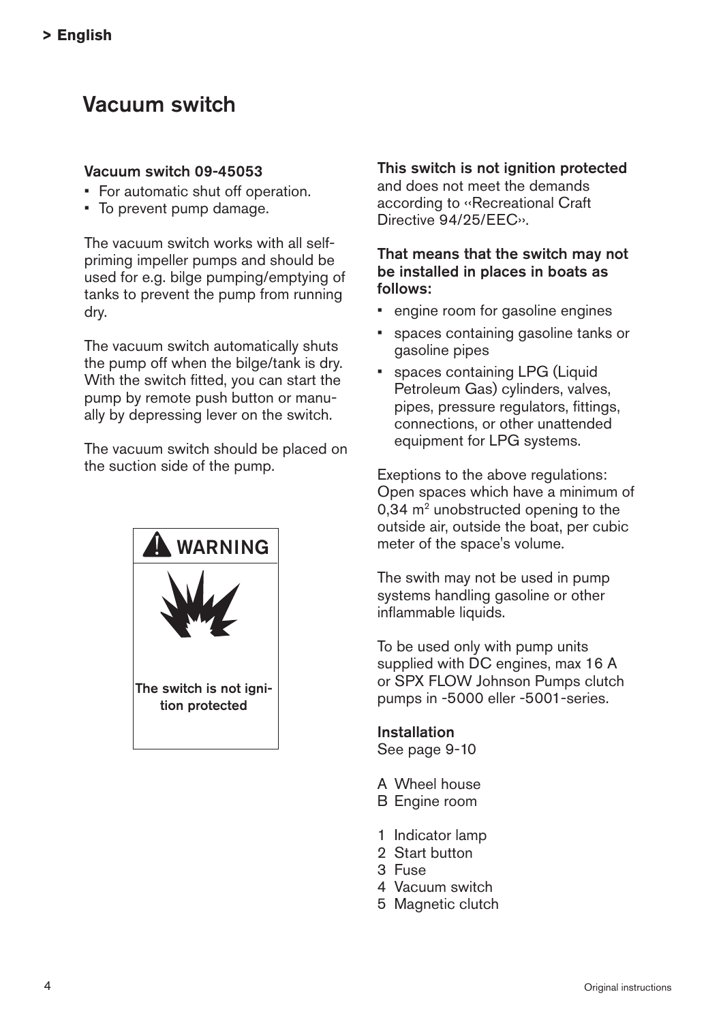# Vacuum switch

#### Vacuum switch 09-45053

- • For automatic shut off operation.
- • To prevent pump damage.

The vacuum switch works with all selfpriming impeller pumps and should be used for e.g. bilge pumping/emptying of tanks to prevent the pump from running dry.

The vacuum switch automatically shuts the pump off when the bilge/tank is dry. With the switch fitted, you can start the pump by remote push button or manually by depressing lever on the switch.

The vacuum switch should be placed on the suction side of the pump.



### This switch is not ignition protected

and does not meet the demands according to ‹‹Recreational Craft Directive 94/25/EEC››.

#### That means that the switch may not be installed in places in boats as follows:

- engine room for gasoline engines
- • spaces containing gasoline tanks or gasoline pipes
- • spaces containing LPG (Liquid Petroleum Gas) cylinders, valves, pipes, pressure regulators, fittings, connections, or other unattended equipment for LPG systems.

Exeptions to the above regulations: Open spaces which have a minimum of  $0.34$  m<sup>2</sup> unobstructed opening to the outside air, outside the boat, per cubic meter of the space's volume.

The swith may not be used in pump systems handling gasoline or other inflammable liquids.

To be used only with pump units supplied with DC engines, max 16 A or SPX FLOW Johnson Pumps clutch pumps in -5000 eller -5001-series.

Installation See page 9-10

- A Wheel house
- B Engine room
- 1 Indicator lamp
- 2 Start button
- 3 Fuse
- 4 Vacuum switch
- 5 Magnetic clutch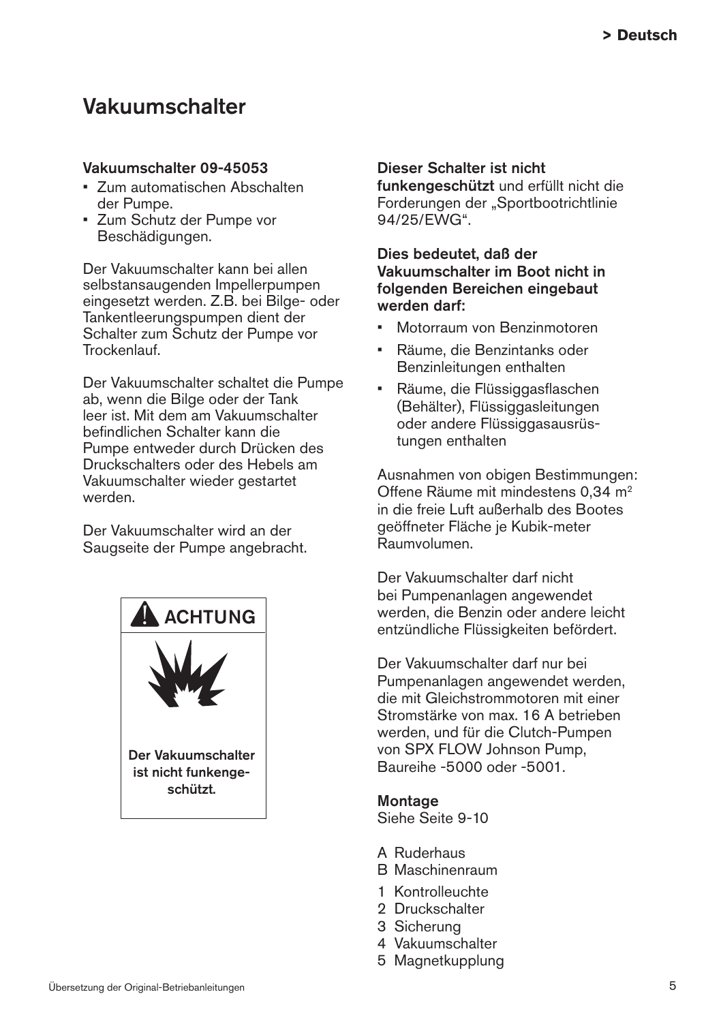## Vakuumschalter

#### Vakuumschalter 09-45053

- • Zum automatischen Abschalten der Pumpe.
- • Zum Schutz der Pumpe vor Beschädigungen.

Der Vakuumschalter kann bei allen selbstansaugenden Impellerpumpen eingesetzt werden. Z.B. bei Bilge- oder Tankentleerungspumpen dient der Schalter zum Schutz der Pumpe vor **Trockenlauf** 

Der Vakuumschalter schaltet die Pumpe ab, wenn die Bilge oder der Tank leer ist. Mit dem am Vakuumschalter befindlichen Schalter kann die Pumpe entweder durch Drücken des Druckschalters oder des Hebels am Vakuumschalter wieder gestartet werden.

Der Vakuumschalter wird an der Saugseite der Pumpe angebracht.



#### Dieser Schalter ist nicht

funkengeschützt und erfüllt nicht die Forderungen der "Sportbootrichtlinie 94/25/EWG".

Dies bedeutet, daß der Vakuumschalter im Boot nicht in folgenden Bereichen eingebaut werden darf:

- Motorraum von Benzinmotoren
- • Räume, die Benzintanks oder Benzinleitungen enthalten
- • Räume, die Flüssiggasflaschen (Behälter), Flüssiggasleitungen oder andere Flüssiggasausrüstungen enthalten

Ausnahmen von obigen Bestimmungen: Offene Räume mit mindestens 0,34 m2 in die freie Luft außerhalb des Bootes geöffneter Fläche je Kubik-meter Raumvolumen.

Der Vakuumschalter darf nicht bei Pumpenanlagen angewendet werden, die Benzin oder andere leicht entzündliche Flüssigkeiten befördert.

Der Vakuumschalter darf nur bei Pumpenanlagen angewendet werden, die mit Gleichstrommotoren mit einer Stromstärke von max. 16 A betrieben werden, und für die Clutch-Pumpen von SPX FLOW Johnson Pump, Baureihe -5000 oder -5001.

#### **Montage**

Siehe Seite 9-10

- A Ruderhaus
- B Maschinenraum
- 1 Kontrolleuchte
- 2 Druckschalter
- 3 Sicherung
- 4 Vakuumschalter
- 5 Magnetkupplung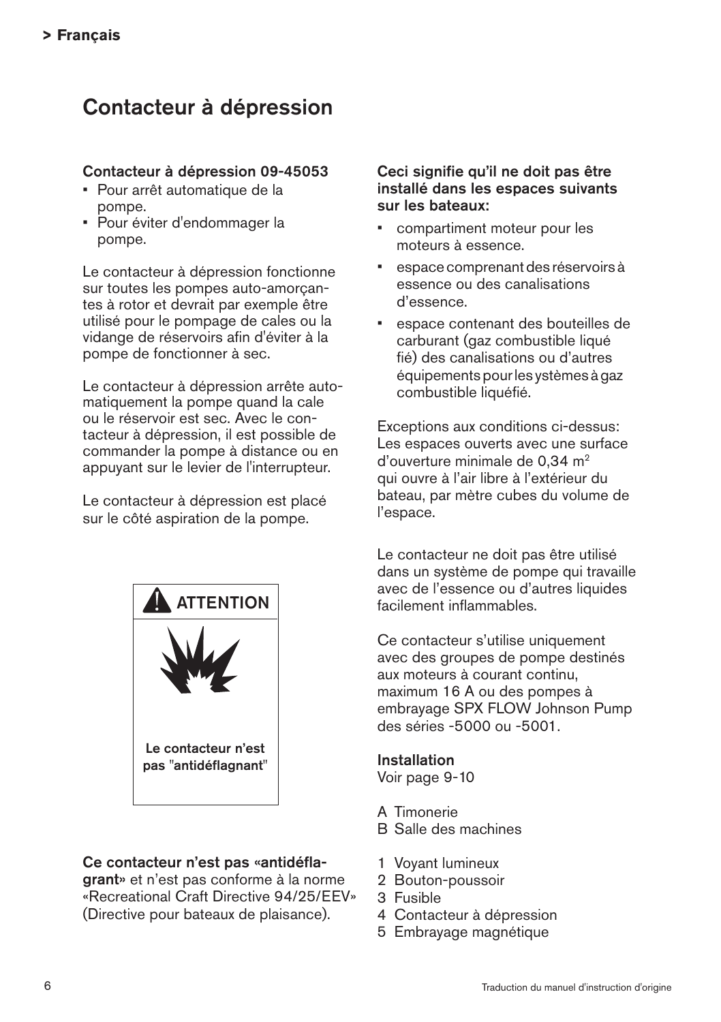# Contacteur à dépression

#### Contacteur à dépression 09-45053

- • Pour arrêt automatique de la pompe.
- • Pour éviter d'endommager la pompe.

Le contacteur à dépression fonctionne sur toutes les pompes auto-amorçantes à rotor et devrait par exemple être utilisé pour le pompage de cales ou la vidange de réservoirs afin d'éviter à la pompe de fonctionner à sec.

Le contacteur à dépression arrête automatiquement la pompe quand la cale ou le réservoir est sec. Avec le contacteur à dépression, il est possible de commander la pompe à distance ou en appuyant sur le levier de l'interrupteur.

Le contacteur à dépression est placé sur le côté aspiration de la pompe.



#### Ce contacteur n'est pas «antidéfla-

grant» et n'est pas conforme à la norme «Recreational Craft Directive 94/25/EEV» (Directive pour bateaux de plaisance).

#### Ceci signifie qu'il ne doit pas être installé dans les espaces suivants sur les bateaux:

- compartiment moteur pour les moteurs à essence.
- espace comprenant des réservoirs à essence ou des canalisations d'essence.
- espace contenant des bouteilles de carburant (gaz combustible liqué fié) des canalisations ou d'autres équipements pour les ystèmes à gaz combustible liquéfié.

Exceptions aux conditions ci-dessus: Les espaces ouverts avec une surface d'ouverture minimale de 0,34 m2 qui ouvre à l'air libre à l'extérieur du bateau, par mètre cubes du volume de l'espace.

Le contacteur ne doit pas être utilisé dans un système de pompe qui travaille avec de l'essence ou d'autres liquides facilement inflammables.

Ce contacteur s'utilise uniquement avec des groupes de pompe destinés aux moteurs à courant continu, maximum 16 A ou des pompes à embrayage SPX FLOW Johnson Pump des séries -5000 ou -5001.

#### Installation

Voir page 9-10

- A Timonerie
- B Salle des machines
- 1 Voyant lumineux
- 2 Bouton-poussoir
- 3 Fusible
- 4 Contacteur à dépression
- 5 Embrayage magnétique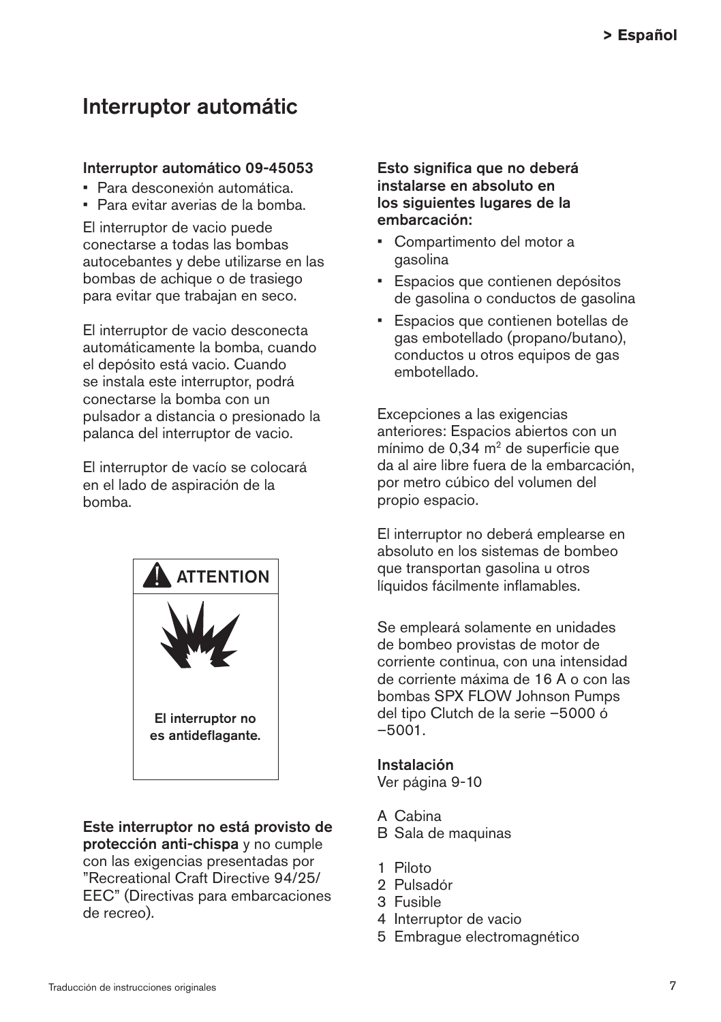## Interruptor automátic

#### Interruptor automático 09-45053

- • Para desconexión automática.
- • Para evitar averias de la bomba.

El interruptor de vacio puede conectarse a todas las bombas autocebantes y debe utilizarse en las bombas de achique o de trasiego para evitar que trabajan en seco.

El interruptor de vacio desconecta automáticamente la bomba, cuando el depósito está vacio. Cuando se instala este interruptor, podrá conectarse la bomba con un pulsador a distancia o presionado la palanca del interruptor de vacio.

El interruptor de vacío se colocará en el lado de aspiración de la bomba.



Este interruptor no está provisto de protección anti-chispa y no cumple con las exigencias presentadas por "Recreational Craft Directive 94/25/ EEC" (Directivas para embarcaciones de recreo).

Esto significa que no deberá instalarse en absoluto en los siguientes lugares de la embarcación:

- • Compartimento del motor a gasolina
- • Espacios que contienen depósitos de gasolina o conductos de gasolina
- • Espacios que contienen botellas de gas embotellado (propano/butano), conductos u otros equipos de gas embotellado.

Excepciones a las exigencias anteriores: Espacios abiertos con un mínimo de  $0.34$  m<sup>2</sup> de superficie que da al aire libre fuera de la embarcación, por metro cúbico del volumen del propio espacio.

El interruptor no deberá emplearse en absoluto en los sistemas de bombeo que transportan gasolina u otros líquidos fácilmente inflamables.

Se empleará solamente en unidades de bombeo provistas de motor de corriente continua, con una intensidad de corriente máxima de 16 A o con las bombas SPX FLOW Johnson Pumps del tipo Clutch de la serie –5000 ó –5001.

#### Instalación

Ver página 9-10

- A Cabina
- B Sala de maquinas
- 1 Piloto
- 2 Pulsadór
- 3 Fusible
- 4 Interruptor de vacio
- 5 Embrague electromagnético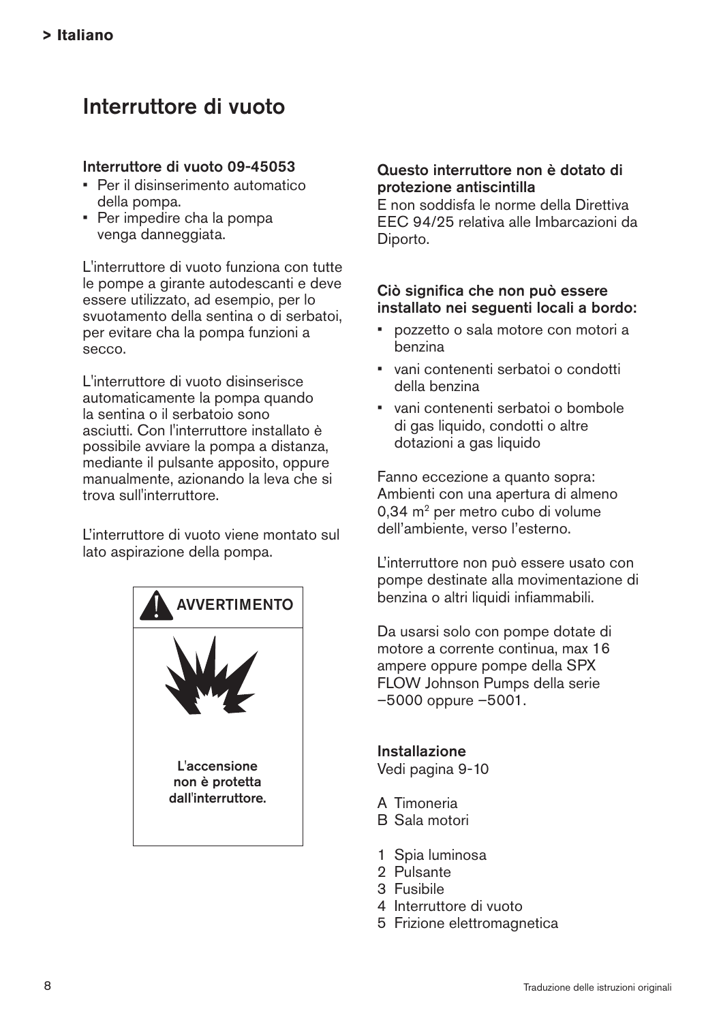# Interruttore di vuoto

#### Interruttore di vuoto 09-45053

- Per il disinserimento automatico della pompa.
- • Per impedire cha la pompa venga danneggiata.

L'interruttore di vuoto funziona con tutte le pompe a girante autodescanti e deve essere utilizzato, ad esempio, per lo svuotamento della sentina o di serbatoi, per evitare cha la pompa funzioni a secco.

L'interruttore di vuoto disinserisce automaticamente la pompa quando la sentina o il serbatoio sono asciutti. Con l'interruttore installato è possibile avviare la pompa a distanza, mediante il pulsante apposito, oppure manualmente, azionando la leva che si trova sull'interruttore.

L'interruttore di vuoto viene montato sul lato aspirazione della pompa.



#### Questo interruttore non è dotato di protezione antiscintilla

E non soddisfa le norme della Direttiva EEC 94/25 relativa alle Imbarcazioni da Diporto.

#### Ciò significa che non può essere installato nei seguenti locali a bordo:

- • pozzetto o sala motore con motori a benzina
- • vani contenenti serbatoi o condotti della benzina
- • vani contenenti serbatoi o bombole di gas liquido, condotti o altre dotazioni a gas liquido

Fanno eccezione a quanto sopra: Ambienti con una apertura di almeno 0,34 m<sup>2</sup> per metro cubo di volume dell'ambiente, verso l'esterno.

L'interruttore non può essere usato con pompe destinate alla movimentazione di benzina o altri liquidi infiammabili.

Da usarsi solo con pompe dotate di motore a corrente continua, max 16 ampere oppure pompe della SPX FLOW Johnson Pumps della serie –5000 oppure –5001.

Installazione Vedi pagina 9-10

- A Timoneria
- B Sala motori
- 1 Spia luminosa
- 2 Pulsante
- 3 Fusibile
- 4 Interruttore di vuoto
- 5 Frizione elettromagnetica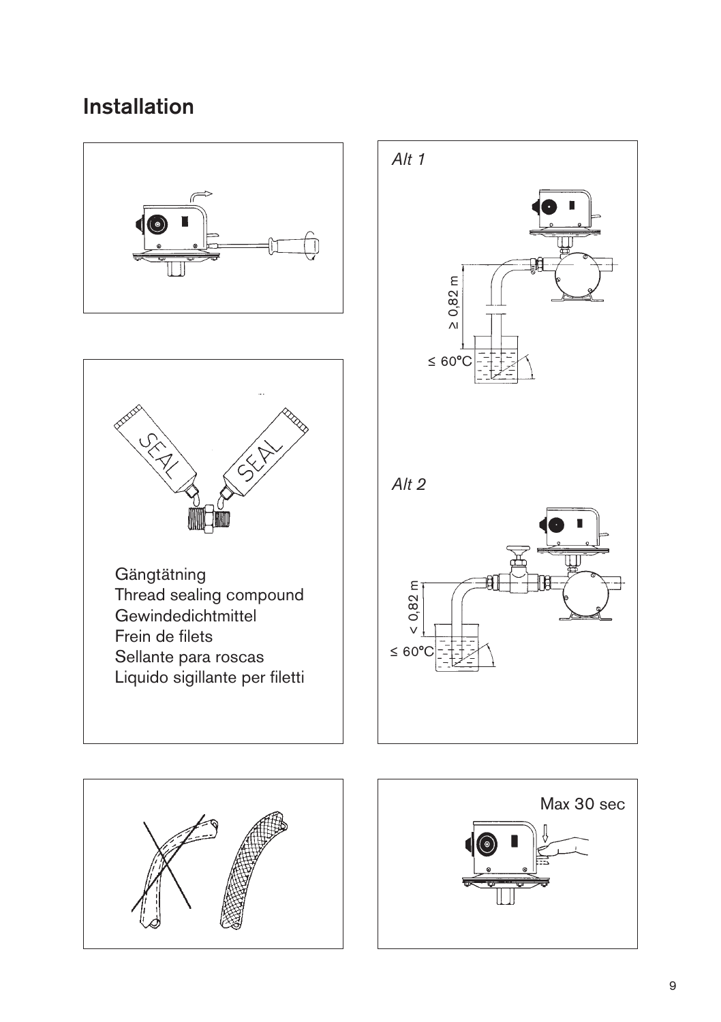# **Installation**





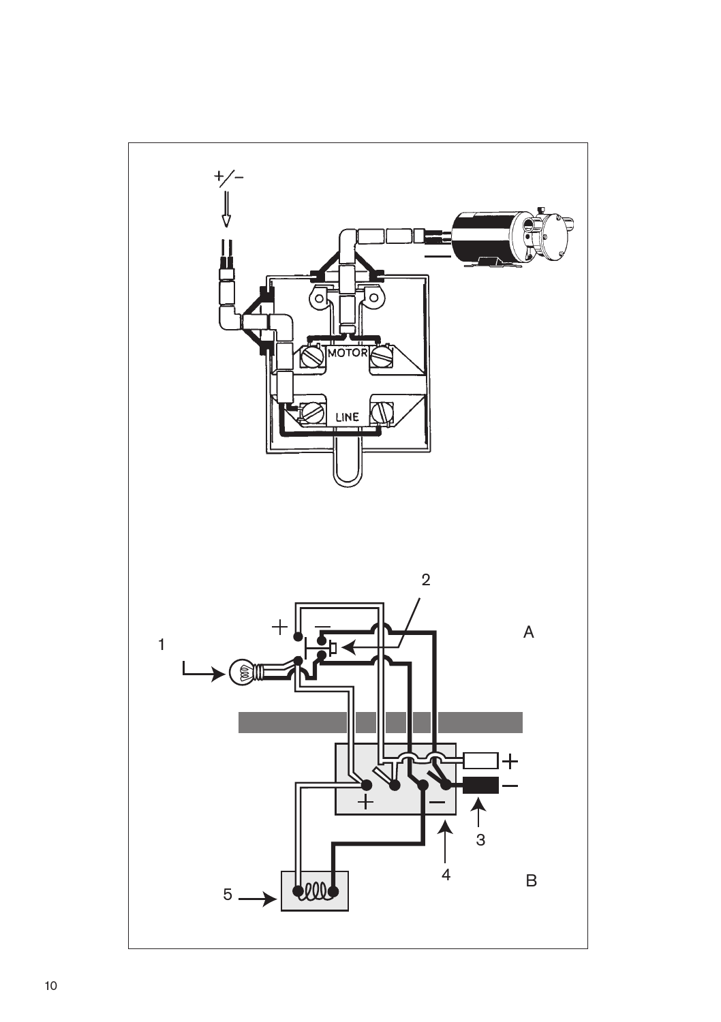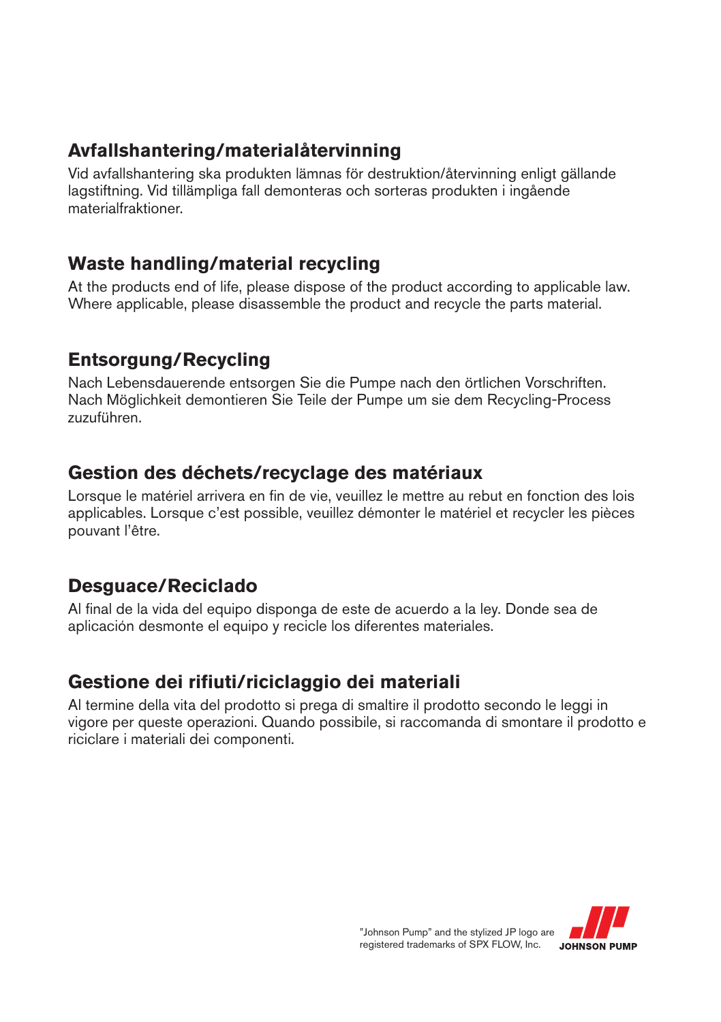### **Avfallshantering/materialåtervinning**

Vid avfallshantering ska produkten lämnas för destruktion/återvinning enligt gällande lagstiftning. Vid tillämpliga fall demonteras och sorteras produkten i ingående materialfraktioner.

### **Waste handling/material recycling**

At the products end of life, please dispose of the product according to applicable law. Where applicable, please disassemble the product and recycle the parts material.

## **Entsorgung/Recycling**

Nach Lebensdauerende entsorgen Sie die Pumpe nach den örtlichen Vorschriften. Nach Möglichkeit demontieren Sie Teile der Pumpe um sie dem Recycling-Process zuzuführen.

### **Gestion des déchets/recyclage des matériaux**

Lorsque le matériel arrivera en fin de vie, veuillez le mettre au rebut en fonction des lois applicables. Lorsque c'est possible, veuillez démonter le matériel et recycler les pièces pouvant l'être.

### **Desguace/Reciclado**

Al final de la vida del equipo disponga de este de acuerdo a la ley. Donde sea de aplicación desmonte el equipo y recicle los diferentes materiales.

### **Gestione dei rifiuti/riciclaggio dei materiali**

Al termine della vita del prodotto si prega di smaltire il prodotto secondo le leggi in vigore per queste operazioni. Quando possibile, si raccomanda di smontare il prodotto e riciclare i materiali dei componenti.